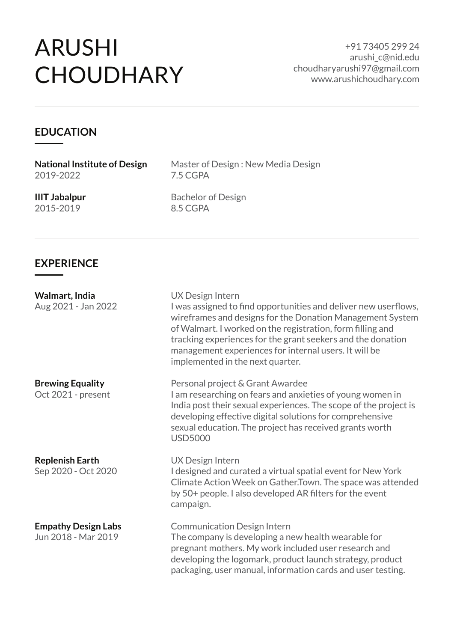# ARUSHI **CHOUDHARY**

+91 73405 299 24 arushi\_c@nid.edu choudharyarushi97@gmail.com www.arushichoudhary.com

#### **EDUCATION**

**National Institute of Design** 2019-2022

Master of Design : New Media Design 7.5 CGPA

**IIIT Jabalpur** 2015-2019

Bachelor of Design 8.5 CGPA

#### **EXPERIENCE**

**Walmart, India** Aug 2021 - Jan 2022

**Brewing Equality**

Oct 2021 - present

**Replenish Earth**

Sep 2020 - Oct 2020

**Empathy Design Labs**

Jun 2018 - Mar 2019

UX Design Intern I was assigned to find opportunities and deliver new userflows, wireframes and designs for the Donation Management System of Walmart. I worked on the registration, form filling and tracking experiences for the grant seekers and the donation management experiences for internal users. It will be implemented in the next quarter.

Personal project & Grant Awardee I am researching on fears and anxieties of young women in India post their sexual experiences. The scope of the project is developing effective digital solutions for comprehensive sexual education. The project has received grants worth USD5000

UX Design Intern I designed and curated a virtual spatial event for New York Climate Action Week on Gather.Town. The space was attended by 50+ people. I also developed AR filters for the event campaign.

Communication Design Intern The company is developing a new health wearable for pregnant mothers. My work included user research and developing the logomark, product launch strategy, product packaging, user manual, information cards and user testing.